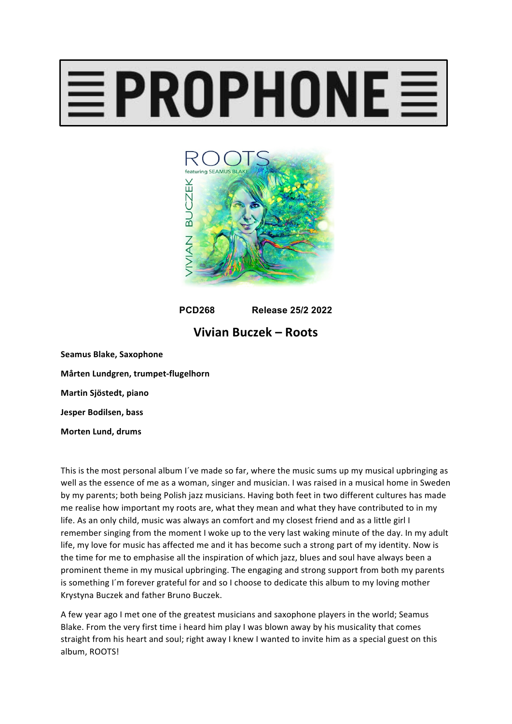## $\equiv$ PROPHONE $\equiv$



**PCD268 Release 25/2 2022**

## **Vivian Buczek – Roots**

**Seamus Blake, Saxophone Mårten Lundgren, trumpet-flugelhorn Martin Sjöstedt, piano Jesper Bodilsen, bass Morten Lund, drums**

This is the most personal album I've made so far, where the music sums up my musical upbringing as well as the essence of me as a woman, singer and musician. I was raised in a musical home in Sweden by my parents; both being Polish jazz musicians. Having both feet in two different cultures has made me realise how important my roots are, what they mean and what they have contributed to in my life. As an only child, music was always an comfort and my closest friend and as a little girl I remember singing from the moment I woke up to the very last waking minute of the day. In my adult life, my love for music has affected me and it has become such a strong part of my identity. Now is the time for me to emphasise all the inspiration of which jazz, blues and soul have always been a prominent theme in my musical upbringing. The engaging and strong support from both my parents is something I'm forever grateful for and so I choose to dedicate this album to my loving mother Krystyna Buczek and father Bruno Buczek.

A few year ago I met one of the greatest musicians and saxophone players in the world; Seamus Blake. From the very first time i heard him play I was blown away by his musicality that comes straight from his heart and soul; right away I knew I wanted to invite him as a special guest on this album, ROOTS!